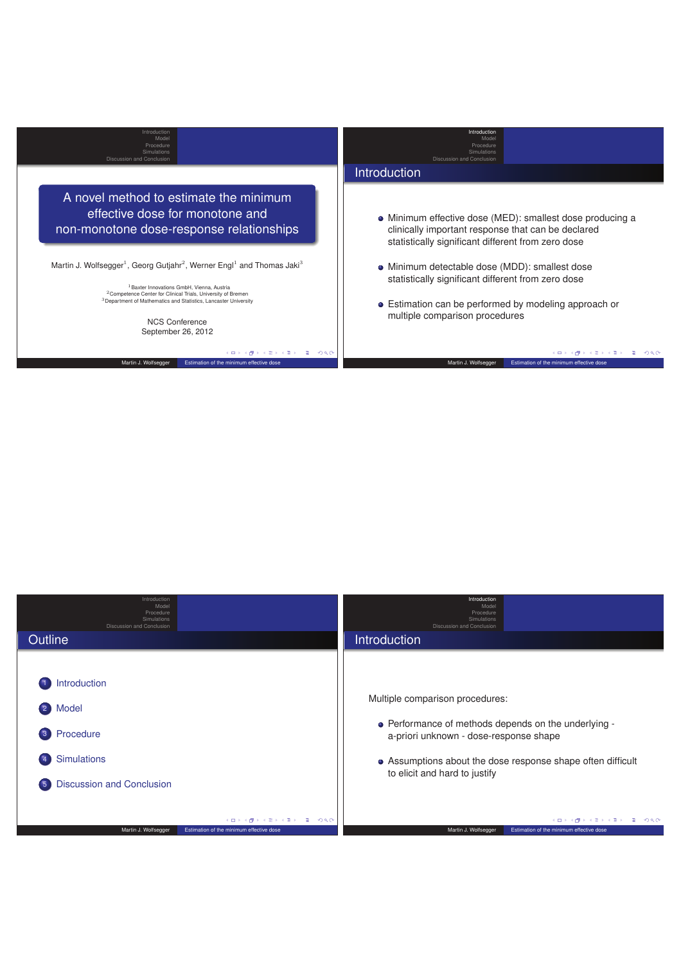| A novel method to estimate the minimum<br>effective dose for monotone and                                                                                                                                                                                                                                                                                                                 | Introduction                                                                                                                                                                                    |
|-------------------------------------------------------------------------------------------------------------------------------------------------------------------------------------------------------------------------------------------------------------------------------------------------------------------------------------------------------------------------------------------|-------------------------------------------------------------------------------------------------------------------------------------------------------------------------------------------------|
|                                                                                                                                                                                                                                                                                                                                                                                           |                                                                                                                                                                                                 |
| non-monotone dose-response relationships                                                                                                                                                                                                                                                                                                                                                  | • Minimum effective dose (MED): smallest dose producing a<br>clinically important response that can be declared<br>statistically significant different from zero dose                           |
| Martin J. Wolfsegger <sup>1</sup> , Georg Gutjahr <sup>2</sup> , Werner Engl <sup>1</sup> and Thomas Jaki <sup>3</sup><br><sup>1</sup> Baxter Innovations GmbH. Vienna. Austria<br><sup>2</sup> Competence Center for Clinical Trials, University of Bremen<br><sup>3</sup> Department of Mathematics and Statistics, Lancaster University<br><b>NCS Conference</b><br>September 26, 2012 | • Minimum detectable dose (MDD): smallest dose<br>statistically significant different from zero dose<br>• Estimation can be performed by modeling approach or<br>multiple comparison procedures |
| 208<br>イロト イ何 ト イヨ ト イヨ ト                                                                                                                                                                                                                                                                                                                                                                 | ാംഹം<br>イロト イ押 トイヨ トイヨ トー<br>æ.                                                                                                                                                                 |
| Estimation of the minimum effective dose<br>Martin J. Wolfsegger                                                                                                                                                                                                                                                                                                                          | Martin J. Wolfsegger<br>Estimation of the minimum effective dose                                                                                                                                |

| Introduction<br>Model<br>Procedure<br>Simulations<br><b>Discussion and Conclusion</b>       | Introduction<br>Model<br>Procedure<br>Simulations<br>Discussion and Conclusion                          |
|---------------------------------------------------------------------------------------------|---------------------------------------------------------------------------------------------------------|
| Outline                                                                                     | <b>Introduction</b>                                                                                     |
| Introduction<br>Model<br>$\left( 2\right)$                                                  | Multiple comparison procedures:                                                                         |
| Procedure<br>$\mathbf{3}$                                                                   | • Performance of methods depends on the underlying -<br>a-priori unknown - dose-response shape          |
| <b>Simulations</b><br>$\sqrt{4}$                                                            | • Assumptions about the dose response shape often difficult<br>to elicit and hard to justify            |
| <b>Discussion and Conclusion</b><br>$\sqrt{5}$                                              |                                                                                                         |
| メロトメ 御 トメ き トメ きょうき うらぐ<br>Martin J. Wolfsegger<br>Estimation of the minimum effective dose | シスミンスミン (毛) の女の<br><b>K ロ ト K 何</b><br>Martin J. Wolfsegger<br>Estimation of the minimum effective dose |
|                                                                                             |                                                                                                         |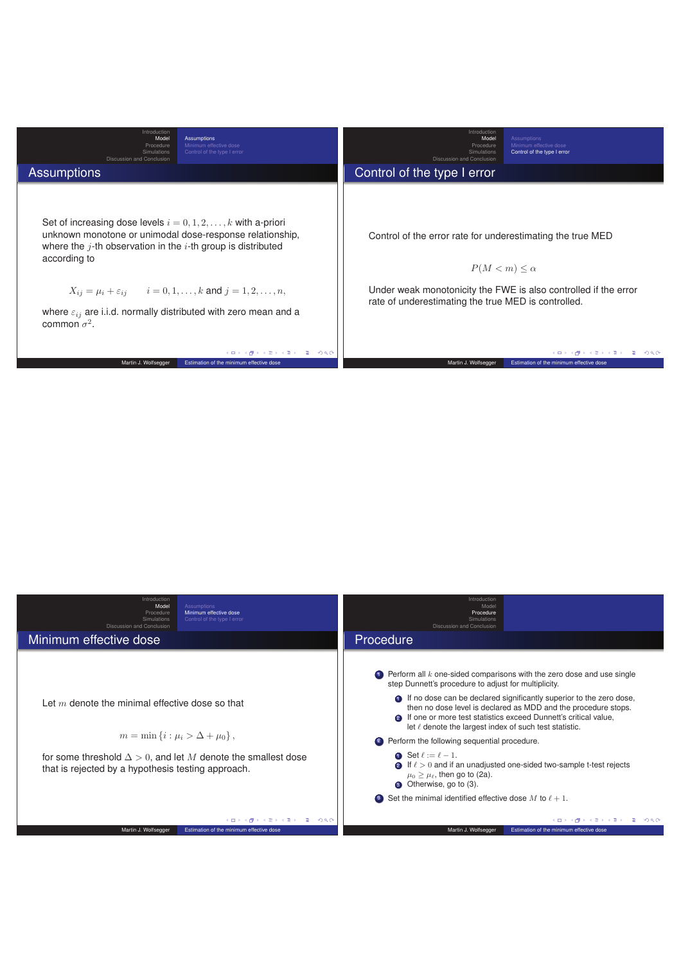| Introduction<br>Model<br><b>Assumptions</b><br>Procedure<br>Minimum effective dose<br>Control of the type I error<br>Simulations<br>Discussion and Conclusion                                                                                                                                                                                                                                        | Introduction<br>Model<br>Assumptions<br>Minimum effective dose<br>Procedure<br>Control of the type I error<br>Simulations<br>Discussion and Conclusion                                                      |
|------------------------------------------------------------------------------------------------------------------------------------------------------------------------------------------------------------------------------------------------------------------------------------------------------------------------------------------------------------------------------------------------------|-------------------------------------------------------------------------------------------------------------------------------------------------------------------------------------------------------------|
| <b>Assumptions</b>                                                                                                                                                                                                                                                                                                                                                                                   | Control of the type I error                                                                                                                                                                                 |
| Set of increasing dose levels $i = 0, 1, 2, , k$ with a-priori<br>unknown monotone or unimodal dose-response relationship,<br>where the $i$ -th observation in the $i$ -th group is distributed<br>according to<br>$X_{ij} = \mu_i + \varepsilon_{ij}$ $i = 0, 1, , k$ and $j = 1, 2, , n$ ,<br>where $\varepsilon_{ij}$ are i.i.d. normally distributed with zero mean and a<br>common $\sigma^2$ . | Control of the error rate for underestimating the true MED<br>$P(M < m) < \alpha$<br>Under weak monotonicity the FWE is also controlled if the error<br>rate of underestimating the true MED is controlled. |
| 208<br>イロト イ部 トイヨ トイヨ トーヨー<br>Martin J. Wolfsegger<br>Estimation of the minimum effective dose                                                                                                                                                                                                                                                                                                       | イロト イ御 トイミト イミト・コー つなの<br>Martin J. Wolfsegger<br>Estimation of the minimum effective dose                                                                                                                  |

| Introduction<br>Model<br><b>Assumptions</b><br>Minimum effective dose<br>Procedure<br>Control of the type I error<br>Simulations<br>Discussion and Conclusion                                                                  | Introduction<br>Model<br>Procedure<br>Simulations<br>Discussion and Conclusion                                                                                                                                                                                                                                                                                                                                                                                                                                                                                                                                                                                                                                                                                |
|--------------------------------------------------------------------------------------------------------------------------------------------------------------------------------------------------------------------------------|---------------------------------------------------------------------------------------------------------------------------------------------------------------------------------------------------------------------------------------------------------------------------------------------------------------------------------------------------------------------------------------------------------------------------------------------------------------------------------------------------------------------------------------------------------------------------------------------------------------------------------------------------------------------------------------------------------------------------------------------------------------|
| Minimum effective dose                                                                                                                                                                                                         | Procedure                                                                                                                                                                                                                                                                                                                                                                                                                                                                                                                                                                                                                                                                                                                                                     |
| Let $m$ denote the minimal effective dose so that<br>$m = \min \{i : \mu_i > \Delta + \mu_0\},\$<br>for some threshold $\Delta > 0$ , and let M denote the smallest dose<br>that is rejected by a hypothesis testing approach. | $\bullet$ Perform all k one-sided comparisons with the zero dose and use single<br>step Dunnett's procedure to adjust for multiplicity.<br><b>O</b> If no dose can be declared significantly superior to the zero dose,<br>then no dose level is declared as MDD and the procedure stops.<br><b>2</b> If one or more test statistics exceed Dunnett's critical value,<br>let $\ell$ denote the largest index of such test statistic.<br>2 Perform the following sequential procedure.<br><b>O</b> Set $\ell := \ell - 1$ .<br><b>2</b> If $\ell > 0$ and if an unadjusted one-sided two-sample t-test rejects<br>$\mu_0 > \mu_{\ell}$ , then go to (2a).<br>Otherwise, go to (3).<br>Set the minimal identified effective dose M to $\ell + 1$ .<br>$\bullet$ |
| メロトメタトメ ミトメ ミトー ミー つくび                                                                                                                                                                                                         | メロトメタトメミトメミト (ミーの)QO                                                                                                                                                                                                                                                                                                                                                                                                                                                                                                                                                                                                                                                                                                                                          |
| Martin J. Wolfsegger<br>Estimation of the minimum effective dose                                                                                                                                                               | Martin J. Wolfsegger<br>Estimation of the minimum effective dose                                                                                                                                                                                                                                                                                                                                                                                                                                                                                                                                                                                                                                                                                              |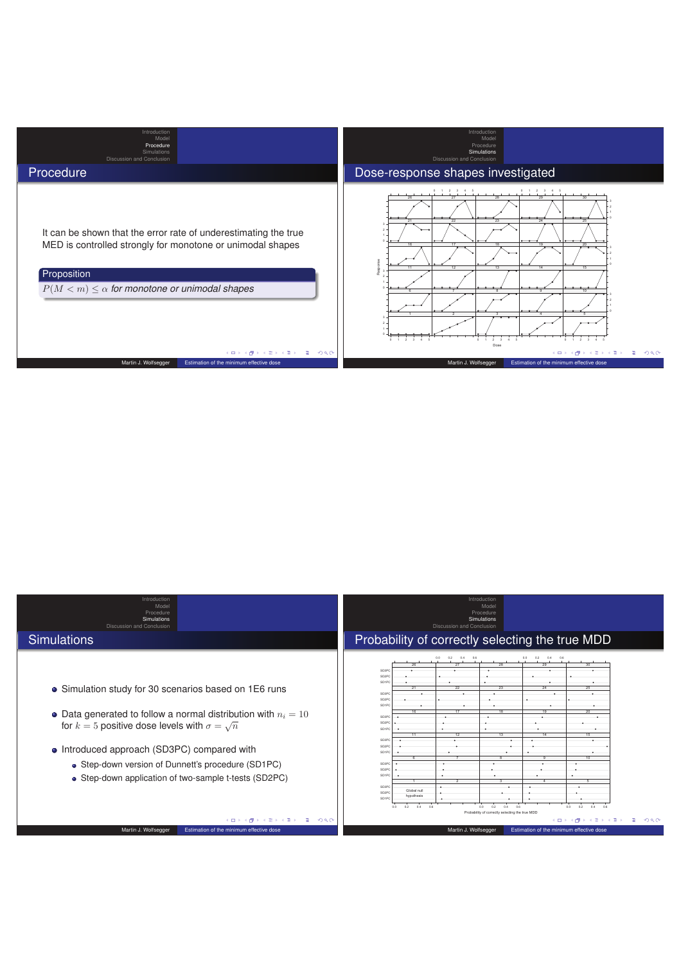

| Introduction<br>Model<br>Procedure<br><b>Simulations</b><br>Discussion and Conclusion<br><b>Simulations</b>                                                                                                                                                                                                                                      | Introduction<br>Model<br>Procedure<br>Simulations<br>Discussion and Conclusion<br>Probability of correctly selecting the true MDD                                                                                                                                                                                                                              |
|--------------------------------------------------------------------------------------------------------------------------------------------------------------------------------------------------------------------------------------------------------------------------------------------------------------------------------------------------|----------------------------------------------------------------------------------------------------------------------------------------------------------------------------------------------------------------------------------------------------------------------------------------------------------------------------------------------------------------|
|                                                                                                                                                                                                                                                                                                                                                  |                                                                                                                                                                                                                                                                                                                                                                |
| • Simulation study for 30 scenarios based on 1E6 runs<br>• Data generated to follow a normal distribution with $n_i = 10$<br>for $k=5$ positive dose levels with $\sigma=\sqrt{n}$<br>• Introduced approach (SD3PC) compared with<br>• Step-down version of Dunnett's procedure (SD1PC)<br>• Step-down application of two-sample t-tests (SD2PC) | 0.2<br>0.2<br>0.0<br>0.4 0.6<br>0.0<br>0.4 0.6<br>28<br>29<br>SD3PC<br>SD <sub>2P</sub><br>SD1P0<br>21<br>22<br>23<br>24<br>25<br>SD3P0<br>SD2PC<br>SD1P0<br>20<br>16.<br>SD3PC<br>SD2P0<br>SD1PC<br>11<br>12<br>13<br>14<br>15<br>SD3PC<br>SD2PC<br>SD1PC<br>10<br>SD3PC<br>SD <sub>2P</sub><br>SD1PC<br>SD3PC<br>Global null<br>SD2PC<br>hypothesis<br>SD1PC |
|                                                                                                                                                                                                                                                                                                                                                  | 0.4<br>0.6<br>0.0<br>0.4<br>0.6<br>0.0<br>0.6<br>0.0<br>0.2<br>0.2<br>0.2<br>0.4                                                                                                                                                                                                                                                                               |
| 200<br>(□) (r)                                                                                                                                                                                                                                                                                                                                   | Probability of correctly selecting the true MDD<br>200<br>4 0 F<br>3.伊                                                                                                                                                                                                                                                                                         |
| Martin J. Wolfsegger<br>Estimation of the minimum effective dose                                                                                                                                                                                                                                                                                 | Martin J. Wolfsegger<br>Estimation of the minimum effective dose                                                                                                                                                                                                                                                                                               |